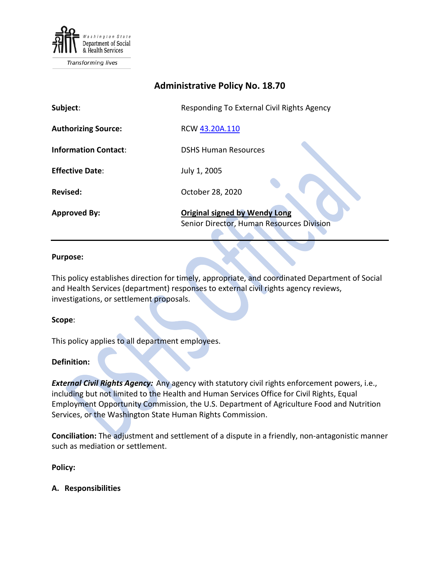

Transforming lives

# **Administrative Policy No. 18.70**

| Subject:                    | Responding To External Civil Rights Agency                                        |
|-----------------------------|-----------------------------------------------------------------------------------|
| <b>Authorizing Source:</b>  | RCW 43.20A.110                                                                    |
| <b>Information Contact:</b> | <b>DSHS Human Resources</b>                                                       |
| <b>Effective Date:</b>      | July 1, 2005                                                                      |
| <b>Revised:</b>             | October 28, 2020                                                                  |
| <b>Approved By:</b>         | <b>Original signed by Wendy Long</b><br>Senior Director, Human Resources Division |

#### **Purpose:**

This policy establishes direction for timely, appropriate, and coordinated Department of Social and Health Services (department) responses to external civil rights agency reviews, investigations, or settlement proposals.

#### **Scope**:

This policy applies to all department employees.

### **Definition:**

*External Civil Rights Agency:* Any agency with statutory civil rights enforcement powers, i.e., including but not limited to the Health and Human Services Office for Civil Rights, Equal Employment Opportunity Commission, the U.S. Department of Agriculture Food and Nutrition Services, or the Washington State Human Rights Commission.

**Conciliation:** The adjustment and settlement of a dispute in a friendly, non-antagonistic manner such as mediation or settlement.

**Policy:**

**A. Responsibilities**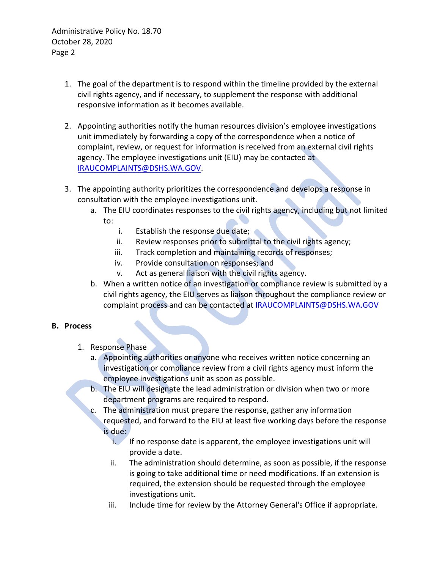Administrative Policy No. 18.70 October 28, 2020 Page 2

- 1. The goal of the department is to respond within the timeline provided by the external civil rights agency, and if necessary, to supplement the response with additional responsive information as it becomes available.
- 2. Appointing authorities notify the human resources division's employee investigations unit immediately by forwarding a copy of the correspondence when a notice of complaint, review, or request for information is received from an external civil rights agency. The employee investigations unit (EIU) may be contacted at [IRAUCOMPLAINTS@DSHS.WA.GOV.](mailto:IRAUCOMPLAINTS@DSHS.WA.GOV)
- 3. The appointing authority prioritizes the correspondence and develops a response in consultation with the employee investigations unit.
	- a. The EIU coordinates responses to the civil rights agency, including but not limited
		- to:
			- i. Establish the response due date;
			- ii. Review responses prior to submittal to the civil rights agency;
			- iii. Track completion and maintaining records of responses;
			- iv. Provide consultation on responses; and
			- v. Act as general liaison with the civil rights agency.
	- b. When a written notice of an investigation or compliance review is submitted by a civil rights agency, the EIU serves as liaison throughout the compliance review or complaint process and can be contacted at [IRAUCOMPLAINTS@DSHS.WA.GOV](mailto:IRAUCOMPLAINTS@DSHS.WA.GOV)

## **B. Process**

- 1. Response Phase
	- a. Appointing authorities or anyone who receives written notice concerning an investigation or compliance review from a civil rights agency must inform the employee investigations unit as soon as possible.
	- b. The EIU will designate the lead administration or division when two or more department programs are required to respond.
	- c. The administration must prepare the response, gather any information requested, and forward to the EIU at least five working days before the response is due:
		- $i.$  If no response date is apparent, the employee investigations unit will provide a date.
		- ii. The administration should determine, as soon as possible, if the response is going to take additional time or need modifications. If an extension is required, the extension should be requested through the employee investigations unit.
		- iii. Include time for review by the Attorney General's Office if appropriate.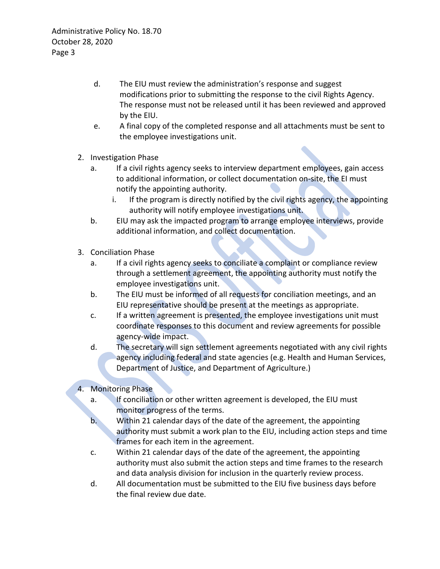- d. The EIU must review the administration's response and suggest modifications prior to submitting the response to the civil Rights Agency. The response must not be released until it has been reviewed and approved by the EIU.
- e. A final copy of the completed response and all attachments must be sent to the employee investigations unit.
- 2. Investigation Phase
	- a. If a civil rights agency seeks to interview department employees, gain access to additional information, or collect documentation on-site, the EI must notify the appointing authority.
		- i. If the program is directly notified by the civil rights agency, the appointing authority will notify employee investigations unit.
	- b. EIU may ask the impacted program to arrange employee interviews, provide additional information, and collect documentation.
- 3. Conciliation Phase
	- a. If a civil rights agency seeks to conciliate a complaint or compliance review through a settlement agreement, the appointing authority must notify the employee investigations unit.
	- b. The EIU must be informed of all requests for conciliation meetings, and an EIU representative should be present at the meetings as appropriate.
	- c. If a written agreement is presented, the employee investigations unit must coordinate responses to this document and review agreements for possible agency-wide impact.
	- d. The secretary will sign settlement agreements negotiated with any civil rights agency including federal and state agencies (e.g. Health and Human Services, Department of Justice, and Department of Agriculture.)

# 4. Monitoring Phase

- a. If conciliation or other written agreement is developed, the EIU must monitor progress of the terms.
- b. Within 21 calendar days of the date of the agreement, the appointing authority must submit a work plan to the EIU, including action steps and time frames for each item in the agreement.
- c. Within 21 calendar days of the date of the agreement, the appointing authority must also submit the action steps and time frames to the research and data analysis division for inclusion in the quarterly review process.
- d. All documentation must be submitted to the EIU five business days before the final review due date.